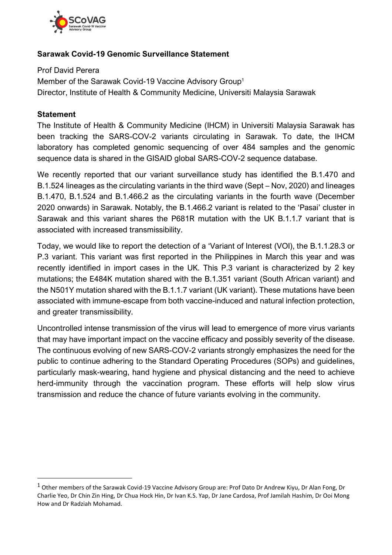

### **Sarawak Covid-19 Genomic Surveillance Statement**

Prof David Perera Member of the Sarawak Covid-19 Vaccine Advisory Group<sup>1</sup> Director, Institute of Health & Community Medicine, Universiti Malaysia Sarawak

### **Statement**

The Institute of Health & Community Medicine (IHCM) in Universiti Malaysia Sarawak has been tracking the SARS-COV-2 variants circulating in Sarawak. To date, the IHCM laboratory has completed genomic sequencing of over 484 samples and the genomic sequence data is shared in the GISAID global SARS-COV-2 sequence database.

We recently reported that our variant surveillance study has identified the B.1.470 and B.1.524 lineages as the circulating variants in the third wave (Sept – Nov, 2020) and lineages B.1.470, B.1.524 and B.1.466.2 as the circulating variants in the fourth wave (December 2020 onwards) in Sarawak. Notably, the B.1.466.2 variant is related to the 'Pasai' cluster in Sarawak and this variant shares the P681R mutation with the UK B.1.1.7 variant that is associated with increased transmissibility.

Today, we would like to report the detection of a 'Variant of Interest (VOI), the B.1.1.28.3 or P.3 variant. This variant was first reported in the Philippines in March this year and was recently identified in import cases in the UK. This P.3 variant is characterized by 2 key mutations; the E484K mutation shared with the B.1.351 variant (South African variant) and the N501Y mutation shared with the B.1.1.7 variant (UK variant). These mutations have been associated with immune-escape from both vaccine-induced and natural infection protection, and greater transmissibility.

Uncontrolled intense transmission of the virus will lead to emergence of more virus variants that may have important impact on the vaccine efficacy and possibly severity of the disease. The continuous evolving of new SARS-COV-2 variants strongly emphasizes the need for the public to continue adhering to the Standard Operating Procedures (SOPs) and guidelines, particularly mask-wearing, hand hygiene and physical distancing and the need to achieve herd-immunity through the vaccination program. These efforts will help slow virus transmission and reduce the chance of future variants evolving in the community.

 $1$  Other members of the Sarawak Covid-19 Vaccine Advisory Group are: Prof Dato Dr Andrew Kiyu, Dr Alan Fong, Dr Charlie Yeo, Dr Chin Zin Hing, Dr Chua Hock Hin, Dr Ivan K.S. Yap, Dr Jane Cardosa, Prof Jamilah Hashim, Dr Ooi Mong How and Dr Radziah Mohamad.